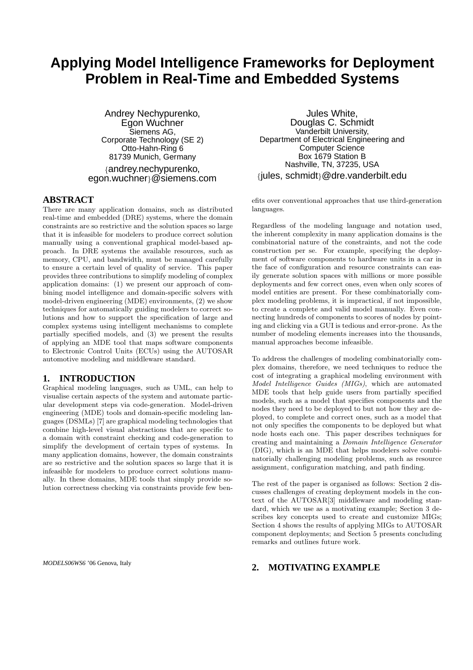# **Applying Model Intelligence Frameworks for Deployment Problem in Real-Time and Embedded Systems**

Andrey Nechypurenko, Egon Wuchner Siemens AG, Corporate Technology (SE 2) Otto-Hahn-Ring 6 81739 Munich, Germany {andrey.nechypurenko, egon.wuchner}@siemens.com

#### **ABSTRACT**

There are many application domains, such as distributed real-time and embedded (DRE) systems, where the domain constraints are so restrictive and the solution spaces so large that it is infeasible for modelers to produce correct solution manually using a conventional graphical model-based approach. In DRE systems the available resources, such as memory, CPU, and bandwidth, must be managed carefully to ensure a certain level of quality of service. This paper provides three contributions to simplify modeling of complex application domains: (1) we present our approach of combining model intelligence and domain-specific solvers with model-driven engineering (MDE) environments, (2) we show techniques for automatically guiding modelers to correct solutions and how to support the specification of large and complex systems using intelligent mechanisms to complete partially specified models, and (3) we present the results of applying an MDE tool that maps software components to Electronic Control Units (ECUs) using the AUTOSAR automotive modeling and middleware standard.

#### **1. INTRODUCTION**

Graphical modeling languages, such as UML, can help to visualise certain aspects of the system and automate particular development steps via code-generation. Model-driven engineering (MDE) tools and domain-specific modeling languages (DSMLs) [7] are graphical modeling technologies that combine high-level visual abstractions that are specific to a domain with constraint checking and code-generation to simplify the development of certain types of systems. In many application domains, however, the domain constraints are so restrictive and the solution spaces so large that it is infeasible for modelers to produce correct solutions manually. In these domains, MDE tools that simply provide solution correctness checking via constraints provide few ben-

*MODELS06WS6* '06 Genova, Italy

Jules White, Douglas C. Schmidt Vanderbilt University, Department of Electrical Engineering and Computer Science Box 1679 Station B Nashville, TN, 37235, USA {jules, schmidt}@dre.vanderbilt.edu

efits over conventional approaches that use third-generation languages.

Regardless of the modeling language and notation used, the inherent complexity in many application domains is the combinatorial nature of the constraints, and not the code construction per se. For example, specifying the deployment of software components to hardware units in a car in the face of configuration and resource constraints can easily generate solution spaces with millions or more possible deployments and few correct ones, even when only scores of model entities are present. For these combinatorially complex modeling problems, it is impractical, if not impossible, to create a complete and valid model manually. Even connecting hundreds of components to scores of nodes by pointing and clicking via a GUI is tedious and error-prone. As the number of modeling elements increases into the thousands, manual approaches become infeasible.

To address the challenges of modeling combinatorially complex domains, therefore, we need techniques to reduce the cost of integrating a graphical modeling environment with Model Intelligence Guides (MIGs), which are automated MDE tools that help guide users from partially specified models, such as a model that specifies components and the nodes they need to be deployed to but not how they are deployed, to complete and correct ones, such as a model that not only specifies the components to be deployed but what node hosts each one. This paper describes techniques for creating and maintaining a Domain Intelligence Generator (DIG), which is an MDE that helps modelers solve combinatorially challenging modeling problems, such as resource assignment, configuration matching, and path finding.

The rest of the paper is organised as follows: Section 2 discusses challenges of creating deployment models in the context of the AUTOSAR[3] middleware and modeling standard, which we use as a motivating example; Section 3 describes key concepts used to create and customize MIGs; Section 4 shows the results of applying MIGs to AUTOSAR component deployments; and Section 5 presents concluding remarks and outlines future work.

#### **2. MOTIVATING EXAMPLE**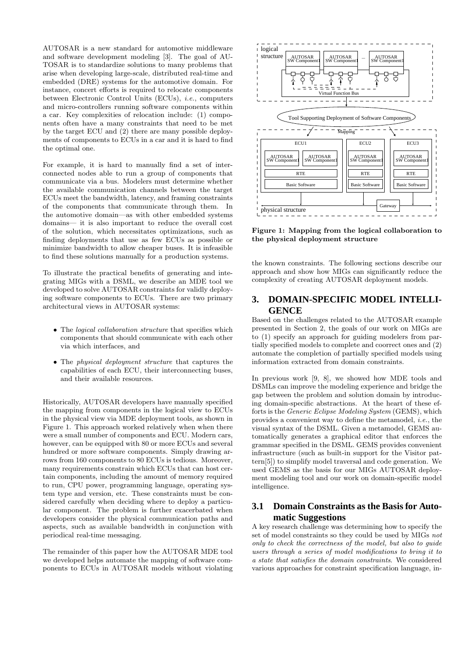AUTOSAR is a new standard for automotive middleware and software development modeling [3]. The goal of AU-TOSAR is to standardize solutions to many problems that arise when developing large-scale, distributed real-time and embedded (DRE) systems for the automotive domain. For instance, concert efforts is required to relocate components between Electronic Control Units (ECUs), i.e., computers and micro-controllers running software components within a car. Key complexities of relocation include: (1) components often have a many constraints that need to be met by the target ECU and (2) there are many possible deployments of components to ECUs in a car and it is hard to find the optimal one.

For example, it is hard to manually find a set of interconnected nodes able to run a group of components that communicate via a bus. Modelers must determine whether the available communication channels between the target ECUs meet the bandwidth, latency, and framing constraints of the components that communicate through them. In the automotive domain—as with other embedded systems domains— it is also important to reduce the overall cost of the solution, which necessitates optimizations, such as finding deployments that use as few ECUs as possible or minimize bandwidth to allow cheaper buses. It is infeasible to find these solutions manually for a production systems.

To illustrate the practical benefits of generating and integrating MIGs with a DSML, we describe an MDE tool we developed to solve AUTOSAR constraints for validly deploying software components to ECUs. There are two primary architectural views in AUTOSAR systems:

- The *logical collaboration structure* that specifies which components that should communicate with each other via which interfaces, and
- The physical deployment structure that captures the capabilities of each ECU, their interconnecting buses, and their available resources.

Historically, AUTOSAR developers have manually specified the mapping from components in the logical view to ECUs in the physical view via MDE deployment tools, as shown in Figure 1. This approach worked relatively when when there were a small number of components and ECU. Modern cars, however, can be equipped with 80 or more ECUs and several hundred or more software components. Simply drawing arrows from 160 components to 80 ECUs is tedious. Moreover, many requirements constrain which ECUs that can host certain components, including the amount of memory required to run, CPU power, programming language, operating system type and version, etc. These constraints must be considered carefully when deciding where to deploy a particular component. The problem is further exacerbated when developers consider the physical communication paths and aspects, such as available bandwidth in conjunction with periodical real-time messaging.

The remainder of this paper how the AUTOSAR MDE tool we developed helps automate the mapping of software components to ECUs in AUTOSAR models without violating



Figure 1: Mapping from the logical collaboration to the physical deployment structure

the known constraints. The following sections describe our approach and show how MIGs can significantly reduce the complexity of creating AUTOSAR deployment models.

### **3. DOMAIN-SPECIFIC MODEL INTELLI-GENCE**

Based on the challenges related to the AUTOSAR example presented in Section 2, the goals of our work on MIGs are to (1) specify an approach for guiding modelers from partially specified models to complete and coorrect ones and (2) automate the completion of partially specified models using information extracted from domain constraints.

In previous work [9, 8], we showed how MDE tools and DSMLs can improve the modeling experience and bridge the gap between the problem and solution domain by introducing domain-specific abstractions. At the heart of these efforts is the *Generic Eclipse Modeling System* (GEMS), which provides a convenient way to define the metamodel, i.e., the visual syntax of the DSML. Given a metamodel, GEMS automatically generates a graphical editor that enforces the grammar specified in the DSML. GEMS provides convenient infrastructure (such as built-in support for the Visitor pattern[5]) to simplify model traversal and code generation. We used GEMS as the basis for our MIGs AUTOSAR deployment modeling tool and our work on domain-specific model intelligence.

#### **3.1 Domain Constraints as the Basis for Automatic Suggestions**

A key research challenge was determining how to specify the set of model constraints so they could be used by MIGs not only to check the correctness of the model, but also to guide users through a series of model modifications to bring it to a state that satisfies the domain constraints. We considered various approaches for constraint specification language, in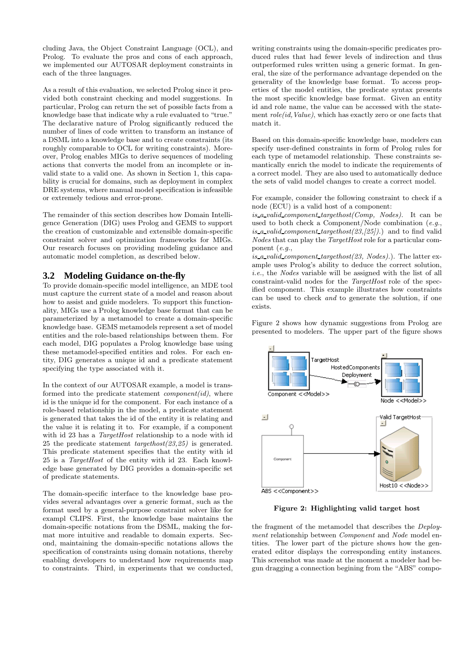cluding Java, the Object Constraint Language (OCL), and Prolog. To evaluate the pros and cons of each approach, we implemented our AUTOSAR deployment constraints in each of the three languages.

As a result of this evaluation, we selected Prolog since it provided both constraint checking and model suggestions. In particular, Prolog can return the set of possible facts from a knowledge base that indicate why a rule evaluated to "true." The declarative nature of Prolog significantly reduced the number of lines of code written to transform an instance of a DSML into a knowledge base and to create constraints (its roughly comparable to OCL for writing constraints). Moreover, Prolog enables MIGs to derive sequences of modeling actions that converts the model from an incomplete or invalid state to a valid one. As shown in Section 1, this capability is crucial for domains, such as deployment in complex DRE systems, where manual model specification is infeasible or extremely tedious and error-prone.

The remainder of this section describes how Domain Intelligence Generation (DIG) uses Prolog and GEMS to support the creation of customizable and extensible domain-specific constraint solver and optimization frameworks for MIGs. Our research focuses on providing modeling guidance and automatic model completion, as described below.

#### **3.2 Modeling Guidance on-the-fly**

To provide domain-specific model intelligence, an MDE tool must capture the current state of a model and reason about how to assist and guide modelers. To support this functionality, MIGs use a Prolog knowledge base format that can be parameterized by a metamodel to create a domain-specific knowledge base. GEMS metamodels represent a set of model entities and the role-based relationships between them. For each model, DIG populates a Prolog knowledge base using these metamodel-specified entities and roles. For each entity, DIG generates a unique id and a predicate statement specifying the type associated with it.

In the context of our AUTOSAR example, a model is transformed into the predicate statement  $component(id)$ , where id is the unique id for the component. For each instance of a role-based relationship in the model, a predicate statement is generated that takes the id of the entity it is relating and the value it is relating it to. For example, if a component with id 23 has a *TargetHost* relationship to a node with id 25 the predicate statement targethost(23,25) is generated. This predicate statement specifies that the entity with id 25 is a TargetHost of the entity with id 23. Each knowledge base generated by DIG provides a domain-specific set of predicate statements.

The domain-specific interface to the knowledge base provides several advantages over a generic format, such as the format used by a general-purpose constraint solver like for exampl CLIPS. First, the knowledge base maintains the domain-specific notations from the DSML, making the format more intuitive and readable to domain experts. Second, maintaining the domain-specific notations allows the specification of constraints using domain notations, thereby enabling developers to understand how requirements map to constraints. Third, in experiments that we conducted,

writing constraints using the domain-specific predicates produced rules that had fewer levels of indirection and thus outperformed rules written using a generic format. In general, the size of the performance advantage depended on the generality of the knowledge base format. To access properties of the model entities, the predicate syntax presents the most specific knowledge base format. Given an entity id and role name, the value can be accessed with the statement  $role(id,Value)$ , which has exactly zero or one facts that match it.

Based on this domain-specific knowledge base, modelers can specify user-defined constraints in form of Prolog rules for each type of metamodel relationship. These constraints semantically enrich the model to indicate the requirements of a correct model. They are also used to automatically deduce the sets of valid model changes to create a correct model.

For example, consider the following constraint to check if a node (ECU) is a valid host of a component:

is a valid component targethost  $(Comp, Nodes)$ . It can be used to both check a Component/Node combination  $(e.g.,)$ is a valid component targethost  $(23, 25)$ .) and to find valid Nodes that can play the TargetHost role for a particular component (e.g.,

is a valid component targethost $(23, Nodes)$ .). The latter example uses Prolog's ability to deduce the correct solution, i.e., the Nodes variable will be assigned with the list of all constraint-valid nodes for the TargetHost role of the specified component. This example illustrates how constraints can be used to check and to generate the solution, if one exists.

Figure 2 shows how dynamic suggestions from Prolog are presented to modelers. The upper part of the figure shows



Figure 2: Highlighting valid target host

the fragment of the metamodel that describes the Deployment relationship between Component and Node model entities. The lower part of the picture shows how the generated editor displays the corresponding entity instances. This screenshot was made at the moment a modeler had begun dragging a connection begining from the "ABS" compo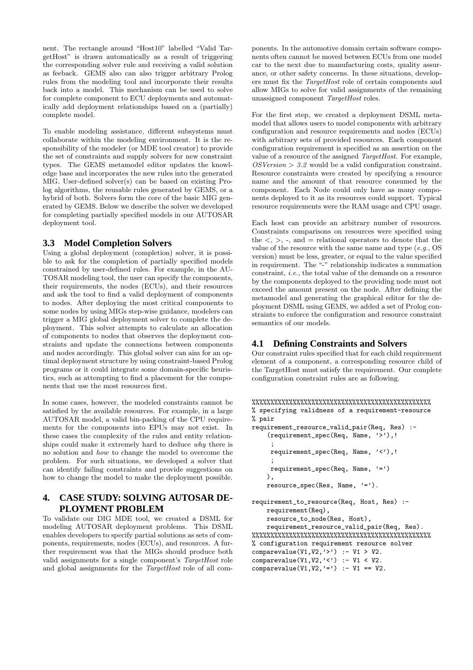nent. The rectangle around "Host10" labelled "Valid TargetHost" is drawn automatically as a result of triggering the corresponding solver rule and receiving a valid solution as feeback. GEMS also can also trigger arbitrary Prolog rules from the modeling tool and incorporate their results back into a model. This mechanism can be used to solve for complete component to ECU deployments and automatically add deployment relationships based on a (partially) complete model.

To enable modeling assistance, different subsystems must collaborate within the modeling environment. It is the responsibility of the modeler (or MDE tool creator) to provide the set of constraints and supply solvers for new constraint types. The GEMS metamodel editor updates the knowledge base and incorporates the new rules into the generated MIG. User-defined solver(s) can be based on existing Prolog algorithms, the reusable rules generated by GEMS, or a hybrid of both. Solvers form the core of the basic MIG generated by GEMS. Below we describe the solver we developed for completing partially specified models in our AUTOSAR deployment tool.

#### **3.3 Model Completion Solvers**

Using a global deployment (completion) solver, it is possible to ask for the completion of partially specified models constrained by user-defined rules. For example, in the AU-TOSAR modeling tool, the user can specify the components, their requirements, the nodes (ECUs), and their resources and ask the tool to find a valid deployment of components to nodes. After deploying the most critical components to some nodes by using MIGs step-wise guidance, modelers can trigger a MIG global deployment solver to complete the deployment. This solver attempts to calculate an allocation of components to nodes that observes the deployment constraints and update the connections between components and nodes accordingly. This global solver can aim for an optimal deployment structure by using constraint-based Prolog programs or it could integrate some domain-specific heuristics, such as attempting to find a placement for the components that use the most resources first.

In some cases, however, the modeled constraints cannot be satisfied by the available resources. For example, in a large AUTOSAR model, a valid bin-packing of the CPU requirements for the components into EPUs may not exist. In these cases the complexity of the rules and entity relationships could make it extremely hard to deduce why there is no solution and how to change the model to overcome the problem. For such situations, we developed a solver that can identify failing constraints and provide suggestions on how to change the model to make the deployment possible.

### **4. CASE STUDY: SOLVING AUTOSAR DE-PLOYMENT PROBLEM**

To validate our DIG MDE tool, we created a DSML for modeling AUTOSAR deployment problems. This DSML enables developers to specify partial solutions as sets of components, requirements, nodes (ECUs), and resources. A further requirement was that the MIGs should produce both valid assignments for a single component's TargetHost role and global assignments for the TargetHost role of all com-

ponents. In the automotive domain certain software components often cannot be moved between ECUs from one model car to the next due to manufacturing costs, quality assurance, or other safety concerns. In these situations, developers must fix the TargetHost role of certain components and allow MIGs to solve for valid assignments of the remaining unassigned component TargetHost roles.

For the first step, we created a deployment DSML metamodel that allows users to model components with arbitrary configuration and resource requirements and nodes (ECUs) with arbitrary sets of provided resources. Each component configuration requirement is specified as an assertion on the value of a resource of the assigned TargetHost. For example,  $OSVersion > 3.2$  would be a valid configuration constraint. Resource constraints were created by specifying a resource name and the amount of that resource consumed by the component. Each Node could only have as many components deployed to it as its resources could support. Typical resource requirements were the RAM usage and CPU usage.

Each host can provide an arbitrary number of resources. Constraints comparisons on resources were specified using the  $\langle , \rangle$ , -, and = relational operators to denote that the value of the resource with the same name and type  $(e.g., OS)$ version) must be less, greater, or equal to the value specified in requirement. The "-" relationship indicates a summation constraint, i.e., the total value of the demands on a resource by the components deployed to the providing node must not exceed the amount present on the node. After defining the metamodel and generating the graphical editor for the deployment DSML using GEMS, we added a set of Prolog constraints to enforce the configuration and resource constraint semantics of our models.

#### **4.1 Defining Constraints and Solvers**

Our constraint rules specified that for each child requirement element of a component, a corresponding resource child of the TargetHost must satisfy the requirement. Our complete configuration constraint rules are as following.

```
%%%%%%%%%%%%%%%%%%%%%%%%%%%%%%%%%%%%%%%%%%%%%%%%
% specifying validness of a requirement-resource
% pair
```

```
requirement_resource_valid_pair(Req, Res) :-
    (requirement_spec(Req, Name, '>'),!
     ;
     requirement_spec(Req, Name, '<'),!
     ;
     requirement_spec(Req, Name, ' = ')
    ),
    resource_spec(Res, Name, '=').
requirement_to_resource(Req, Host, Res) :-
    requirement(Req),
    resource_to_node(Res, Host),
```

```
requirement_resource_valid_pair(Req, Res).
%%%%%%%%%%%%%%%%%%%%%%%%%%%%%%%%%%%%%%%%%%%%%%%%
% configuration requirement resource solver
comparevalue(V1,V2,\cdot>') :- V1 > V2.
comparevalue(V1, V2, '<') :- V1 < V2.
comparevalue(V1, V2, '=') :- V1 == V2.
```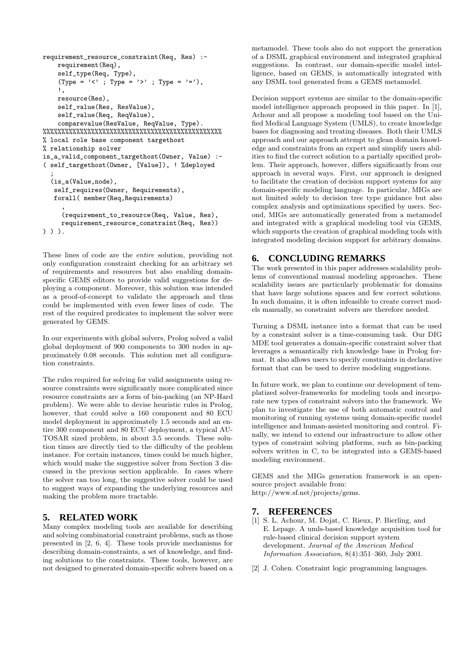```
requirement_resource_constraint(Req, Res) :-
   requirement(Req),
    self_type(Req, Type),
    \text{(Type = '< ' ; Type = '> ' ; Type = '> '),}!,
   resource(Res),
    self_value(Res, ResValue),
    self_value(Req, ReqValue),
    comparevalue(ResValue, ReqValue, Type).
%%%%%%%%%%%%%%%%%%%%%%%%%%%%%%%%%%%%%%%%%%%%%%%%
% local role base component targethost
% relationship solver
is_a_valid_component_targethost(Owner, Value) :-
( self_targethost(Owner, [Value]), ! %deployed
  ;
  (is_a(Value,node),
  self_requires(Owner, Requirements),
   forall( member(Req,Requirements)
     ,
     (requirement_to_resource(Req, Value, Res),
     requirement_resource_constraint(Req, Res))
```

```
) ) ).
```
These lines of code are the entire solution, providing not only configuration constraint checking for an arbitrary set of requirements and resources but also enabling domainspecific GEMS editors to provide valid suggestions for deploying a component. Moreover, this solution was intended as a proof-of-concept to validate the approach and thus could be implemented with even fewer lines of code. The rest of the required predicates to implement the solver were generated by GEMS.

In our experiments with global solvers, Prolog solved a valid global deployment of 900 components to 300 nodes in approximately 0.08 seconds. This solution met all configuration constraints.

The rules required for solving for valid assignments using resource constraints were significantly more complicated since resource constraints are a form of bin-packing (an NP-Hard problem). We were able to devise heuristic rules in Prolog, however, that could solve a 160 component and 80 ECU model deployment in approximately 1.5 seconds and an entire 300 component and 80 ECU deployment, a typical AU-TOSAR sized problem, in about 3.5 seconds. These solution times are directly tied to the difficulty of the problem instance. For certain instances, times could be much higher, which would make the suggestive solver from Section 3 discussed in the previous section applicable. In cases where the solver ran too long, the suggestive solver could be used to suggest ways of expanding the underlying resources and making the problem more tractable.

#### **5. RELATED WORK**

Many complex modeling tools are available for describing and solving combinatorial constraint problems, such as those presented in [2, 6, 4]. These tools provide mechanisms for describing domain-constraints, a set of knowledge, and finding solutions to the constraints. These tools, however, are not designed to generated domain-specific solvers based on a

metamodel. These tools also do not support the generation of a DSML graphical environment and integrated graphical suggestions. In contrast, our domain-specific model intelligence, based on GEMS, is automatically integrated with any DSML tool generated from a GEMS metamodel.

Decision support systems are similar to the domain-specific model intelligence approach proposed in this paper. In [1], Achour and all propose a modeling tool based on the Unified Medical Language System (UMLS), to create knowledge bases for diagnosing and treating diseases. Both their UMLS approach and our approach attempt to glean domain knowledge and constraints from an expert and simplify users abilities to find the correct solution to a partially specified problem. Their approach, however, differs significantly from our approach in several ways. First, our approach is designed to facilitate the creation of decision support systems for any domain-specific modeling language. In particular, MIGs are not limited solely to decision tree type guidance but also complex analysis and optimizations specified by users. Second, MIGs are automatically generated from a metamodel and integrated with a graphical modeling tool via GEMS, which supports the creation of graphical modeling tools with integrated modeling decision support for arbitrary domains.

### **6. CONCLUDING REMARKS**

The work presented in this paper addresses scalability problems of conventional manual modeling approaches. These scalability issues are particularly problematic for domains that have large solutions spaces and few correct solutions. In such domains, it is often infeasible to create correct models manually, so constraint solvers are therefore needed.

Turning a DSML instance into a format that can be used by a constraint solver is a time-consuming task. Our DIG MDE tool generates a domain-specific constraint solver that leverages a semantically rich knowledge base in Prolog format. It also allows users to specify constraints in declarative format that can be used to derive modeling suggestions.

In future work, we plan to continue our development of templatized solver-frameworks for modeling tools and incorporate new types of constraint solvers into the framework. We plan to investigate the use of both automatic control and monitoring of running systems using domain-specific model intelligence and human-assisted monitoring and control. Finally, we intend to extend our infrastructure to allow other types of constraint solving platforms, such as bin-packing solvers written in C, to be integrated into a GEMS-based modeling environment.

GEMS and the MIGs generation framework is an opensource project available from: http://www.sf.net/projects/gems.

## **7. REFERENCES**

- [1] S. L. Achour, M. Dojat, C. Rieux, P. Bierling, and E. Lepage. A umls-based knowledge acquisition tool for rule-based clinical decision support system development. Journal of the American Medical Information Association, 8(4):351–360, July 2001.
- [2] J. Cohen. Constraint logic programming languages.